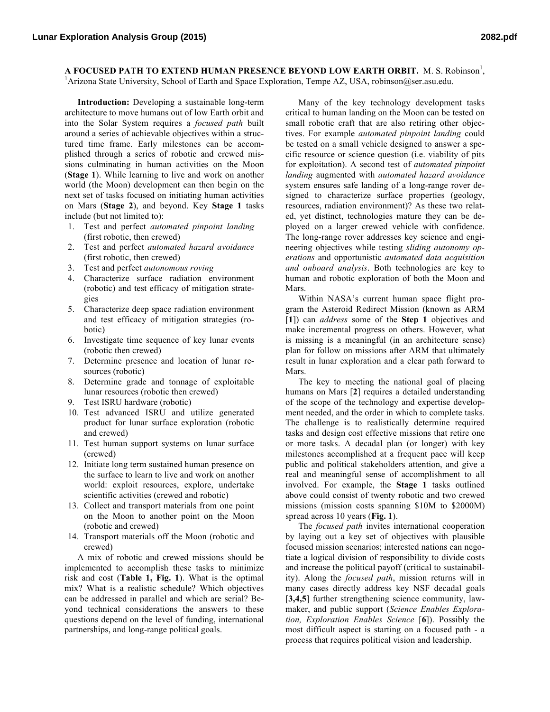**A FOCUSED PATH TO EXTEND HUMAN PRESENCE BEYOND LOW EARTH ORBIT.** M. S. Robinson<sup>1</sup>, <sup>1</sup> Arizona State University, School of Earth and Space Exploration, Tempe AZ, USA, robinson@ser.asu.edu.

**Introduction:** Developing a sustainable long-term architecture to move humans out of low Earth orbit and into the Solar System requires a *focused path* built around a series of achievable objectives within a structured time frame. Early milestones can be accomplished through a series of robotic and crewed missions culminating in human activities on the Moon (**Stage 1**). While learning to live and work on another world (the Moon) development can then begin on the next set of tasks focused on initiating human activities on Mars (**Stage 2**), and beyond. Key **Stage 1** tasks include (but not limited to):

- 1. Test and perfect *automated pinpoint landing* (first robotic, then crewed)
- 2. Test and perfect *automated hazard avoidance* (first robotic, then crewed)
- 3. Test and perfect *autonomous roving*
- 4. Characterize surface radiation environment (robotic) and test efficacy of mitigation strategies
- 5. Characterize deep space radiation environment and test efficacy of mitigation strategies (robotic)
- 6. Investigate time sequence of key lunar events (robotic then crewed)
- 7. Determine presence and location of lunar resources (robotic)
- 8. Determine grade and tonnage of exploitable lunar resources (robotic then crewed)
- 9. Test ISRU hardware (robotic)
- 10. Test advanced ISRU and utilize generated product for lunar surface exploration (robotic and crewed)
- 11. Test human support systems on lunar surface (crewed)
- 12. Initiate long term sustained human presence on the surface to learn to live and work on another world: exploit resources, explore, undertake scientific activities (crewed and robotic)
- 13. Collect and transport materials from one point on the Moon to another point on the Moon (robotic and crewed)
- 14. Transport materials off the Moon (robotic and crewed)

A mix of robotic and crewed missions should be implemented to accomplish these tasks to minimize risk and cost (**Table 1, Fig. 1**). What is the optimal mix? What is a realistic schedule? Which objectives can be addressed in parallel and which are serial? Beyond technical considerations the answers to these questions depend on the level of funding, international partnerships, and long-range political goals.

Many of the key technology development tasks critical to human landing on the Moon can be tested on small robotic craft that are also retiring other objectives. For example *automated pinpoint landing* could be tested on a small vehicle designed to answer a specific resource or science question (i.e. viability of pits for exploitation). A second test of *automated pinpoint landing* augmented with *automated hazard avoidance* system ensures safe landing of a long-range rover designed to characterize surface properties (geology, resources, radiation environment)? As these two related, yet distinct, technologies mature they can be deployed on a larger crewed vehicle with confidence. The long-range rover addresses key science and engineering objectives while testing *sliding autonomy operations* and opportunistic *automated data acquisition and onboard analysis*. Both technologies are key to human and robotic exploration of both the Moon and Mars.

Within NASA's current human space flight program the Asteroid Redirect Mission (known as ARM [**1**]) can *address* some of the **Step 1** objectives and make incremental progress on others. However, what is missing is a meaningful (in an architecture sense) plan for follow on missions after ARM that ultimately result in lunar exploration and a clear path forward to Mars.

The key to meeting the national goal of placing humans on Mars [**2**] requires a detailed understanding of the scope of the technology and expertise development needed, and the order in which to complete tasks. The challenge is to realistically determine required tasks and design cost effective missions that retire one or more tasks. A decadal plan (or longer) with key milestones accomplished at a frequent pace will keep public and political stakeholders attention, and give a real and meaningful sense of accomplishment to all involved. For example, the **Stage 1** tasks outlined above could consist of twenty robotic and two crewed missions (mission costs spanning \$10M to \$2000M) spread across 10 years (**Fig. 1**).

The *focused path* invites international cooperation by laying out a key set of objectives with plausible focused mission scenarios; interested nations can negotiate a logical division of responsibility to divide costs and increase the political payoff (critical to sustainability). Along the *focused path*, mission returns will in many cases directly address key NSF decadal goals [3,4,5] further strengthening science community, lawmaker, and public support (*Science Enables Exploration, Exploration Enables Science* [**6**]). Possibly the most difficult aspect is starting on a focused path - a process that requires political vision and leadership.